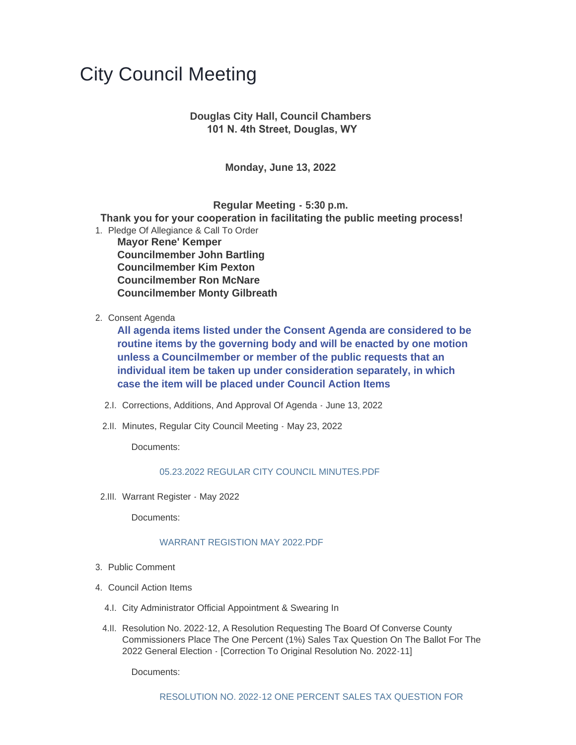# City Council Meeting

## **Douglas City Hall, Council Chambers 101 N. 4th Street, Douglas, WY**

**Monday, June 13, 2022**

**Regular Meeting - 5:30 p.m.**

 **Thank you for your cooperation in facilitating the public meeting process!**

- 1. Pledge Of Allegiance & Call To Order **Mayor Rene' Kemper Councilmember John Bartling Councilmember Kim Pexton Councilmember Ron McNare Councilmember Monty Gilbreath**
- 2. Consent Agenda

**All agenda items listed under the Consent Agenda are considered to be routine items by the governing body and will be enacted by one motion unless a Councilmember or member of the public requests that an individual item be taken up under consideration separately, in which case the item will be placed under Council Action Items**

- 2.I. Corrections, Additions, And Approval Of Agenda June 13, 2022
- 2.II. Minutes, Regular City Council Meeting May 23, 2022

Documents:

### [05.23.2022 REGULAR CITY COUNCIL MINUTES.PDF](https://www.cityofdouglas.org/AgendaCenter/ViewFile/Item/5100?fileID=4382)

2.III. Warrant Register - May 2022

Documents:

### WARRANT REGISTION MAY 2022 PDF

- 3. Public Comment
- 4. Council Action Items
	- 4.I. City Administrator Official Appointment & Swearing In
	- 4.II. Resolution No. 2022-12, A Resolution Requesting The Board Of Converse County Commissioners Place The One Percent (1%) Sales Tax Question On The Ballot For The 2022 General Election - [Correction To Original Resolution No. 2022-11]

Documents: